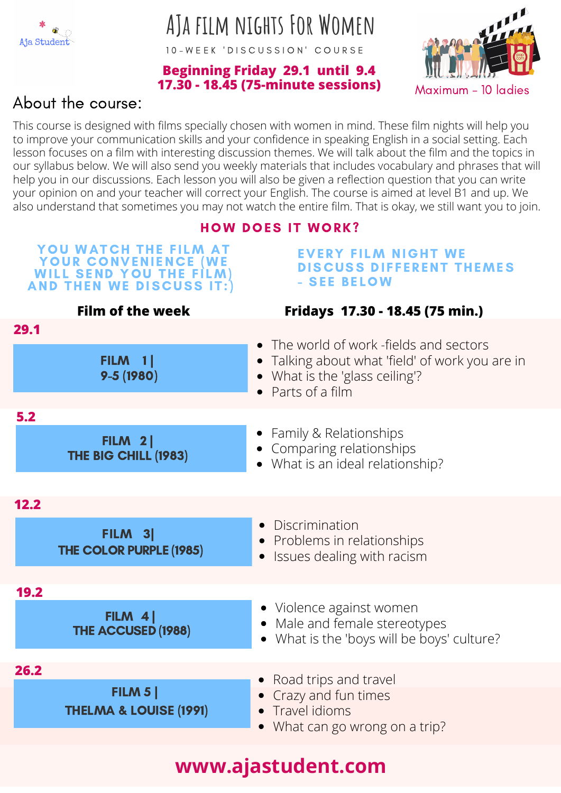

# **AJa film nights For Women**

10 - WEEK 'DISCUSSION' COURSE

#### **Beginning Friday 29.1 until 9.4 17.30 - 18.45 (75-minute sessions)**



### About the course:

This course is designed with films specially chosen with women in mind. These film nights will help you to improve your communication skills and your confidence in speaking English in a social setting. Each lesson focuses on a film with interesting discussion themes. We will talk about the film and the topics in our syllabus below. We will also send you weekly materials that includes vocabulary and phrases that will help you in our discussions. Each lesson you will also be given a reflection question that you can write your opinion on and your teacher will correct your English. The course is aimed at level B1 and up. We also understand that sometimes you may not watch the entire film. That is okay, we still want you to join.

#### **HOW DOES IT WORK?**

#### YOU WATCH THE FILM AT YOUR CONVENIENCE (WE WILL SEND YOU THE FILM) AND THEN WE DISCUSS IT:)

#### **EVERY FILM NIGHT WE** DISCUSS DIFFERENT THEMES - SEE BELOW



## **www.ajastudent.com**